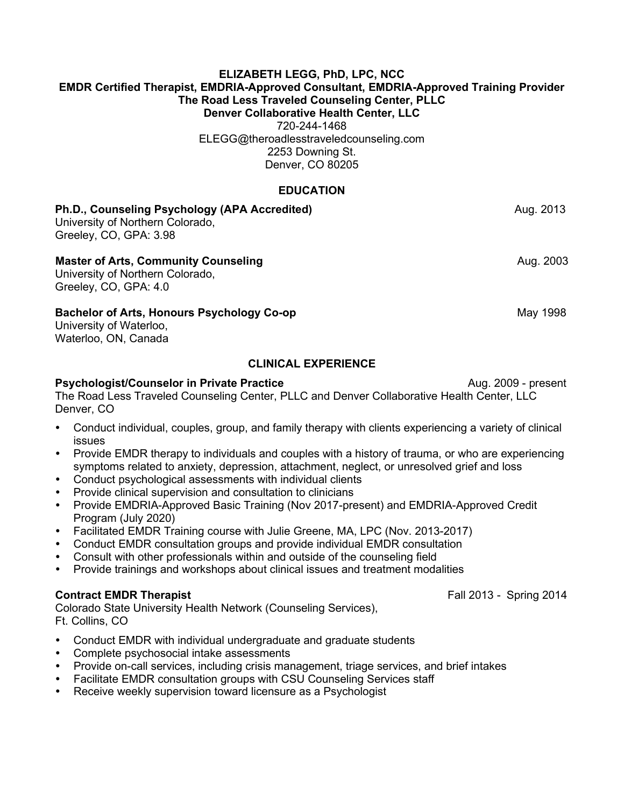### **ELIZABETH LEGG, PhD, LPC, NCC EMDR Certified Therapist, EMDRIA-Approved Consultant, EMDRIA-Approved Training Provider The Road Less Traveled Counseling Center, PLLC Denver Collaborative Health Center, LLC**

720-244-1468 [ELEGG@theroadlesstraveledcounseling.com](mailto:TRLTcounseling@gmail.com) 2253 Downing St. Denver, CO 80205

### **EDUCATION**

# **Ph.D., Counseling Psychology (APA Accredited) Aug. 2013** Aug. 2013 University of Northern Colorado, Greeley, CO, GPA: 3.98 **Master of Arts, Community Counseling** Aug. 2003 University of Northern Colorado, Greeley, CO, GPA: 4.0 **Bachelor of Arts, Honours Psychology Co-op** May 1998 University of Waterloo, Waterloo, ON, Canada

### **CLINICAL EXPERIENCE**

### **Psychologist/Counselor in Private Practice** Aug. 2009 - present

The Road Less Traveled Counseling Center, PLLC and Denver Collaborative Health Center, LLC Denver, CO

- Conduct individual, couples, group, and family therapy with clients experiencing a variety of clinical issues
- Provide EMDR therapy to individuals and couples with a history of trauma, or who are experiencing symptoms related to anxiety, depression, attachment, neglect, or unresolved grief and loss
- Conduct psychological assessments with individual clients
- Provide clinical supervision and consultation to clinicians
- Provide EMDRIA-Approved Basic Training (Nov 2017-present) and EMDRIA-Approved Credit Program (July 2020)
- Facilitated EMDR Training course with Julie Greene, MA, LPC (Nov. 2013-2017)
- Conduct EMDR consultation groups and provide individual EMDR consultation
- Consult with other professionals within and outside of the counseling field
- Provide trainings and workshops about clinical issues and treatment modalities

### **Contract EMDR Therapist** Fall 2013 - Spring 2014

Colorado State University Health Network (Counseling Services), Ft. Collins, CO

- Conduct EMDR with individual undergraduate and graduate students
- Complete psychosocial intake assessments
- Provide on-call services, including crisis management, triage services, and brief intakes
- Facilitate EMDR consultation groups with CSU Counseling Services staff
- Receive weekly supervision toward licensure as a Psychologist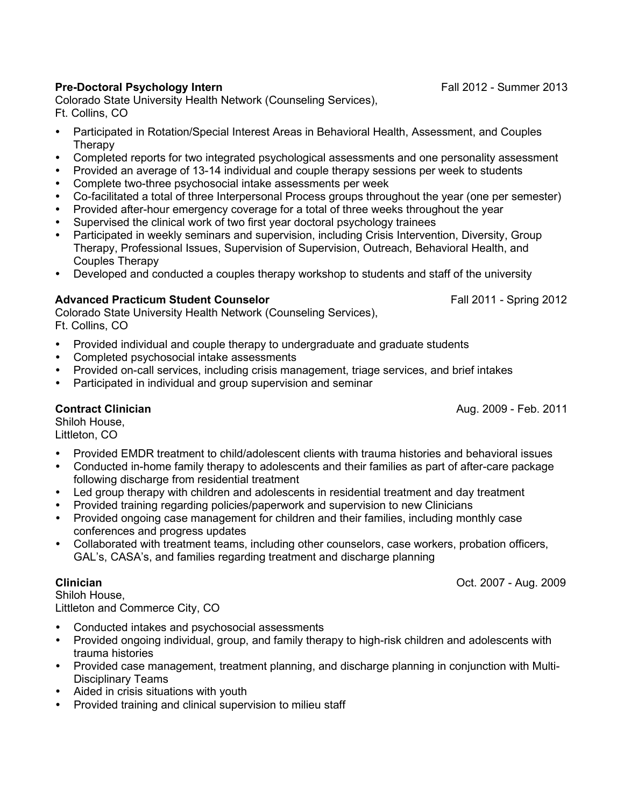# **Pre-Doctoral Psychology Intern** Fall 2012 - Summer 2013

Colorado State University Health Network (Counseling Services), Ft. Collins, CO

- Participated in Rotation/Special Interest Areas in Behavioral Health, Assessment, and Couples **Therapy**
- Completed reports for two integrated psychological assessments and one personality assessment
- Provided an average of 13-14 individual and couple therapy sessions per week to students
- Complete two-three psychosocial intake assessments per week
- Co-facilitated a total of three Interpersonal Process groups throughout the year (one per semester)
- Provided after-hour emergency coverage for a total of three weeks throughout the year
- Supervised the clinical work of two first year doctoral psychology trainees
- Participated in weekly seminars and supervision, including Crisis Intervention, Diversity, Group Therapy, Professional Issues, Supervision of Supervision, Outreach, Behavioral Health, and Couples Therapy
- Developed and conducted a couples therapy workshop to students and staff of the university

# **Advanced Practicum Student Counselor** Fall 2011 - Spring 2012

Colorado State University Health Network (Counseling Services), Ft. Collins, CO

- Provided individual and couple therapy to undergraduate and graduate students
- Completed psychosocial intake assessments
- Provided on-call services, including crisis management, triage services, and brief intakes
- Participated in individual and group supervision and seminar

**Contract Clinician** Aug. 2009 - Feb. 2011

Shiloh House, Littleton, CO

- Provided EMDR treatment to child/adolescent clients with trauma histories and behavioral issues
- Conducted in-home family therapy to adolescents and their families as part of after-care package following discharge from residential treatment
- Led group therapy with children and adolescents in residential treatment and day treatment
- Provided training regarding policies/paperwork and supervision to new Clinicians
- Provided ongoing case management for children and their families, including monthly case conferences and progress updates
- Collaborated with treatment teams, including other counselors, case workers, probation officers, GAL's, CASA's, and families regarding treatment and discharge planning

**Clinician** Oct. 2007 - Aug. 2009

Shiloh House, Littleton and Commerce City, CO

- Conducted intakes and psychosocial assessments
- Provided ongoing individual, group, and family therapy to high-risk children and adolescents with trauma histories
- Provided case management, treatment planning, and discharge planning in conjunction with Multi-Disciplinary Teams
- Aided in crisis situations with youth
- Provided training and clinical supervision to milieu staff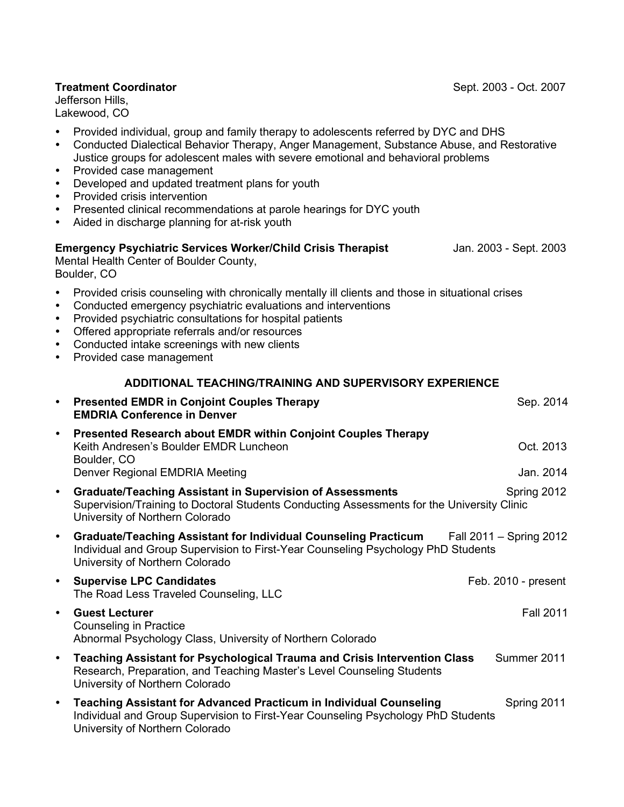### **Treatment Coordinator**  Sept. 2003 - Oct. 2007

Jefferson Hills, Lakewood, CO

- Provided individual, group and family therapy to adolescents referred by DYC and DHS
- Conducted Dialectical Behavior Therapy, Anger Management, Substance Abuse, and Restorative Justice groups for adolescent males with severe emotional and behavioral problems
- Provided case management
- Developed and updated treatment plans for youth
- Provided crisis intervention
- Presented clinical recommendations at parole hearings for DYC youth
- Aided in discharge planning for at-risk youth

# **Emergency Psychiatric Services Worker/Child Crisis Therapist** Jan. 2003 - Sept. 2003

Mental Health Center of Boulder County, Boulder, CO

- Provided crisis counseling with chronically mentally ill clients and those in situational crises
- Conducted emergency psychiatric evaluations and interventions
- Provided psychiatric consultations for hospital patients
- Offered appropriate referrals and/or resources
- Conducted intake screenings with new clients
- Provided case management

### **ADDITIONAL TEACHING/TRAINING AND SUPERVISORY EXPERIENCE**

| $\bullet$ | <b>Presented EMDR in Conjoint Couples Therapy</b><br><b>EMDRIA Conference in Denver</b>                                                                                                           | Sep. 2014               |
|-----------|---------------------------------------------------------------------------------------------------------------------------------------------------------------------------------------------------|-------------------------|
| $\bullet$ | Presented Research about EMDR within Conjoint Couples Therapy<br>Keith Andresen's Boulder EMDR Luncheon<br>Boulder, CO                                                                            | Oct. 2013               |
|           | Denver Regional EMDRIA Meeting                                                                                                                                                                    | Jan. 2014               |
| $\bullet$ | <b>Graduate/Teaching Assistant in Supervision of Assessments</b><br>Supervision/Training to Doctoral Students Conducting Assessments for the University Clinic<br>University of Northern Colorado | Spring 2012             |
| $\bullet$ | <b>Graduate/Teaching Assistant for Individual Counseling Practicum</b><br>Individual and Group Supervision to First-Year Counseling Psychology PhD Students<br>University of Northern Colorado    | Fall 2011 – Spring 2012 |
| $\bullet$ | <b>Supervise LPC Candidates</b><br>The Road Less Traveled Counseling, LLC                                                                                                                         | Feb. 2010 - present     |
| $\bullet$ | <b>Guest Lecturer</b><br>Counseling in Practice<br>Abnormal Psychology Class, University of Northern Colorado                                                                                     | <b>Fall 2011</b>        |
| $\bullet$ | Teaching Assistant for Psychological Trauma and Crisis Intervention Class<br>Research, Preparation, and Teaching Master's Level Counseling Students<br>University of Northern Colorado            | Summer 2011             |
| $\bullet$ | <b>Teaching Assistant for Advanced Practicum in Individual Counseling</b><br>Individual and Group Supervision to First-Year Counseling Psychology PhD Students<br>University of Northern Colorado | Spring 2011             |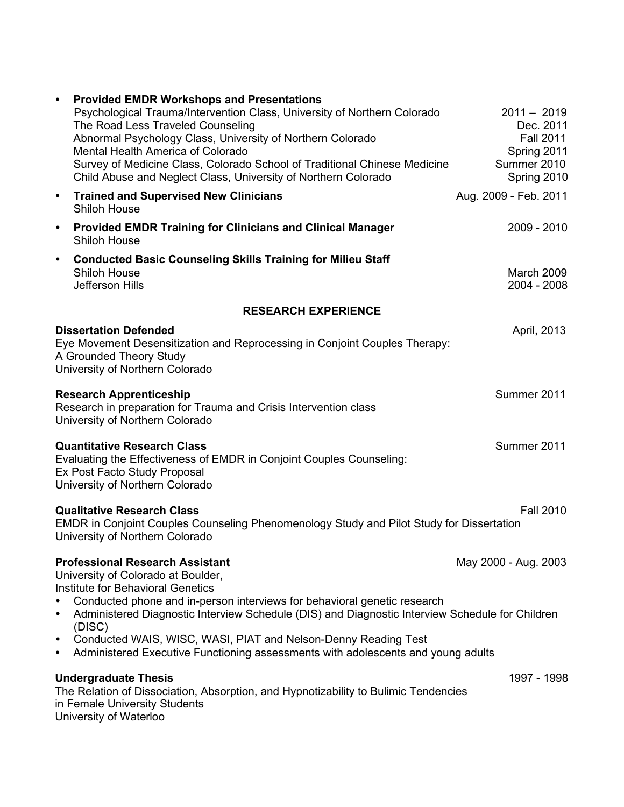| ٠                                                                          | <b>Provided EMDR Workshops and Presentations</b>                                                                                            |                            |                  |
|----------------------------------------------------------------------------|---------------------------------------------------------------------------------------------------------------------------------------------|----------------------------|------------------|
|                                                                            | Psychological Trauma/Intervention Class, University of Northern Colorado                                                                    | $2011 - 2019$              |                  |
|                                                                            | The Road Less Traveled Counseling                                                                                                           |                            | Dec. 2011        |
|                                                                            | Abnormal Psychology Class, University of Northern Colorado                                                                                  |                            | <b>Fall 2011</b> |
|                                                                            | Mental Health America of Colorado                                                                                                           | Spring 2011                |                  |
|                                                                            | Survey of Medicine Class, Colorado School of Traditional Chinese Medicine<br>Child Abuse and Neglect Class, University of Northern Colorado | Summer 2010<br>Spring 2010 |                  |
| $\bullet$<br><b>Shiloh House</b>                                           | <b>Trained and Supervised New Clinicians</b>                                                                                                | Aug. 2009 - Feb. 2011      |                  |
| $\bullet$<br><b>Shiloh House</b>                                           | <b>Provided EMDR Training for Clinicians and Clinical Manager</b>                                                                           |                            | 2009 - 2010      |
| $\bullet$                                                                  | <b>Conducted Basic Counseling Skills Training for Milieu Staff</b>                                                                          |                            |                  |
| <b>Shiloh House</b>                                                        |                                                                                                                                             | March 2009                 |                  |
| Jefferson Hills                                                            |                                                                                                                                             | 2004 - 2008                |                  |
|                                                                            | <b>RESEARCH EXPERIENCE</b>                                                                                                                  |                            |                  |
| <b>Dissertation Defended</b>                                               |                                                                                                                                             |                            | April, 2013      |
| Eye Movement Desensitization and Reprocessing in Conjoint Couples Therapy: |                                                                                                                                             |                            |                  |
|                                                                            | A Grounded Theory Study                                                                                                                     |                            |                  |
|                                                                            | University of Northern Colorado                                                                                                             |                            |                  |
|                                                                            | <b>Research Apprenticeship</b>                                                                                                              | Summer 2011                |                  |
|                                                                            | Research in preparation for Trauma and Crisis Intervention class                                                                            |                            |                  |
|                                                                            | University of Northern Colorado                                                                                                             |                            |                  |
|                                                                            | <b>Quantitative Research Class</b>                                                                                                          | Summer 2011                |                  |
|                                                                            | Evaluating the Effectiveness of EMDR in Conjoint Couples Counseling:                                                                        |                            |                  |
|                                                                            | Ex Post Facto Study Proposal                                                                                                                |                            |                  |
|                                                                            | University of Northern Colorado                                                                                                             |                            |                  |
|                                                                            | <b>Qualitative Research Class</b>                                                                                                           |                            | <b>Fall 2010</b> |
|                                                                            | EMDR in Conjoint Couples Counseling Phenomenology Study and Pilot Study for Dissertation                                                    |                            |                  |
|                                                                            | University of Northern Colorado                                                                                                             |                            |                  |
|                                                                            | <b>Professional Research Assistant</b>                                                                                                      | May 2000 - Aug. 2003       |                  |
|                                                                            | University of Colorado at Boulder,                                                                                                          |                            |                  |
|                                                                            | Institute for Behavioral Genetics                                                                                                           |                            |                  |
| $\bullet$                                                                  | Conducted phone and in-person interviews for behavioral genetic research                                                                    |                            |                  |
| $\bullet$<br>(DISC)                                                        | Administered Diagnostic Interview Schedule (DIS) and Diagnostic Interview Schedule for Children                                             |                            |                  |
| $\bullet$                                                                  | Conducted WAIS, WISC, WASI, PIAT and Nelson-Denny Reading Test                                                                              |                            |                  |
| $\bullet$                                                                  | Administered Executive Functioning assessments with adolescents and young adults                                                            |                            |                  |
| <b>Undergraduate Thesis</b>                                                |                                                                                                                                             |                            | 1997 - 1998      |
|                                                                            | The Relation of Dissociation, Absorption, and Hypnotizability to Bulimic Tendencies                                                         |                            |                  |
|                                                                            | in Female University Students                                                                                                               |                            |                  |

University of Waterloo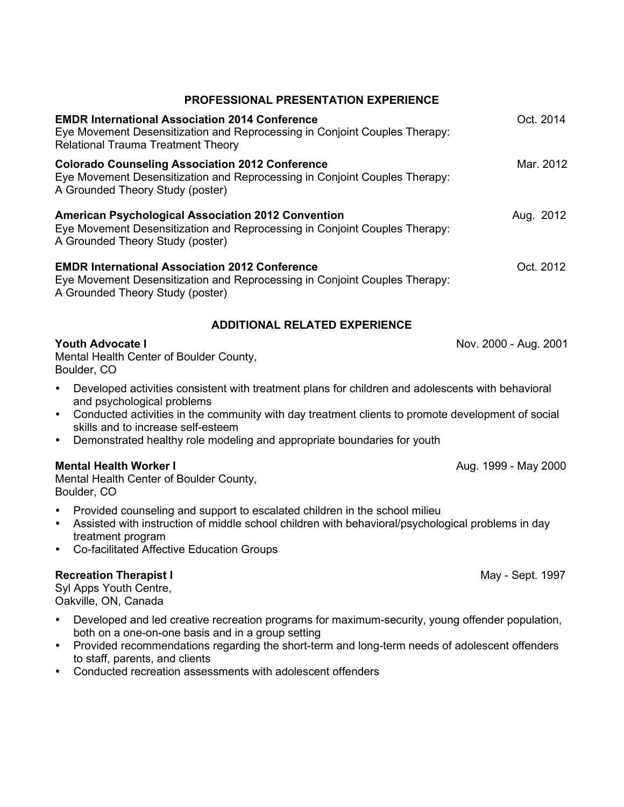| <b>PROFESSIONAL PRESENTATION EXPERIENCE</b>                                                                                                                                                                                                                                                                       |                       |  |
|-------------------------------------------------------------------------------------------------------------------------------------------------------------------------------------------------------------------------------------------------------------------------------------------------------------------|-----------------------|--|
| <b>EMDR International Association 2014 Conference</b><br>Eye Movement Desensitization and Reprocessing in Conjoint Couples Therapy:<br><b>Relational Trauma Treatment Theory</b>                                                                                                                                  | Oct. 2014             |  |
| <b>Colorado Counseling Association 2012 Conference</b><br>Eye Movement Desensitization and Reprocessing in Conjoint Couples Therapy:<br>A Grounded Theory Study (poster)                                                                                                                                          | Mar. 2012             |  |
| <b>American Psychological Association 2012 Convention</b><br>Eye Movement Desensitization and Reprocessing in Conjoint Couples Therapy:<br>A Grounded Theory Study (poster)                                                                                                                                       | Aug. 2012             |  |
| <b>EMDR International Association 2012 Conference</b><br>Eye Movement Desensitization and Reprocessing in Conjoint Couples Therapy:<br>A Grounded Theory Study (poster)                                                                                                                                           | Oct. 2012             |  |
| <b>ADDITIONAL RELATED EXPERIENCE</b>                                                                                                                                                                                                                                                                              |                       |  |
| <b>Youth Advocate I</b><br>Mental Health Center of Boulder County,<br>Boulder, CO                                                                                                                                                                                                                                 | Nov. 2000 - Aug. 2001 |  |
| Developed activities consistent with treatment plans for children and adolescents with behavioral                                                                                                                                                                                                                 |                       |  |
| and psychological problems<br>Conducted activities in the community with day treatment clients to promote development of social<br>$\bullet$<br>skills and to increase self-esteem<br>Demonstrated healthy role modeling and appropriate boundaries for youth<br>$\bullet$                                        |                       |  |
| <b>Mental Health Worker I</b><br>Mental Health Center of Boulder County,<br>Boulder, CO                                                                                                                                                                                                                           | Aug. 1999 - May 2000  |  |
| Provided counseling and support to escalated children in the school milieu<br>$\bullet$<br>Assisted with instruction of middle school children with behavioral/psychological problems in day<br>$\bullet$<br>treatment program<br><b>Co-facilitated Affective Education Groups</b><br>$\bullet$                   |                       |  |
| <b>Recreation Therapist I</b><br>May - Sept. 1997<br>Syl Apps Youth Centre,<br>Oakville, ON, Canada                                                                                                                                                                                                               |                       |  |
| Developed and led creative recreation programs for maximum-security, young offender population,<br>$\bullet$<br>both on a one-on-one basis and in a group setting<br>Provided recommendations regarding the short-term and long-term needs of adolescent offenders<br>$\bullet$<br>to staff, parents, and clients |                       |  |

Conducted recreation assessments with adolescent offenders